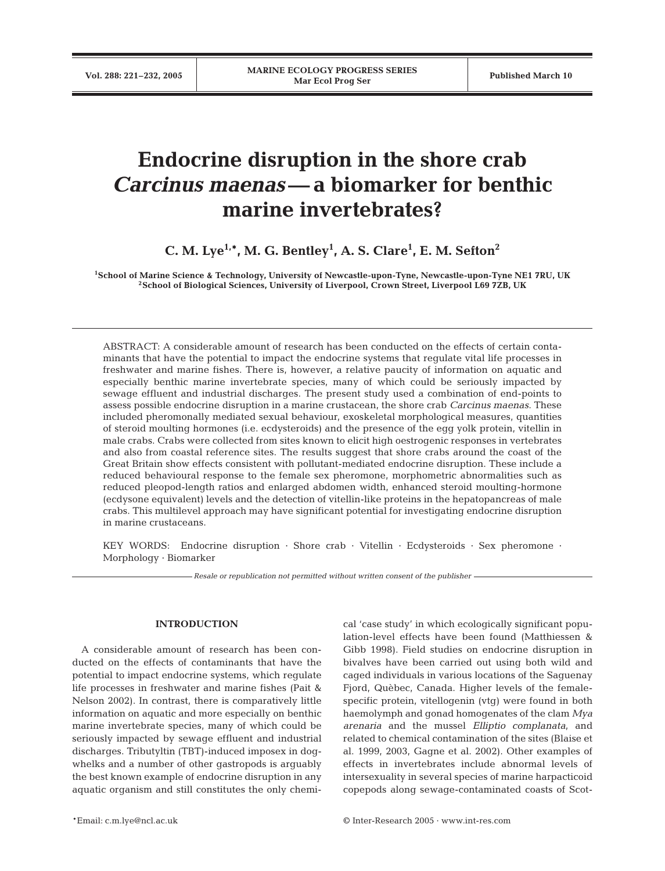# **Endocrine disruption in the shore crab**  *Carcinus maenas***— a biomarker for benthic marine invertebrates?**

**C. M. Lye1,\*, M. G. Bentley1 , A. S. Clare1 , E. M. Sefton2**

**1School of Marine Science & Technology, University of Newcastle-upon-Tyne, Newcastle-upon-Tyne NE1 7RU, UK 2School of Biological Sciences, University of Liverpool, Crown Street, Liverpool L69 7ZB, UK**

ABSTRACT: A considerable amount of research has been conducted on the effects of certain contaminants that have the potential to impact the endocrine systems that regulate vital life processes in freshwater and marine fishes. There is, however, a relative paucity of information on aquatic and especially benthic marine invertebrate species, many of which could be seriously impacted by sewage effluent and industrial discharges. The present study used a combination of end-points to assess possible endocrine disruption in a marine crustacean, the shore crab *Carcinus maenas*. These included pheromonally mediated sexual behaviour, exoskeletal morphological measures, quantities of steroid moulting hormones (i.e. ecdysteroids) and the presence of the egg yolk protein, vitellin in male crabs. Crabs were collected from sites known to elicit high oestrogenic responses in vertebrates and also from coastal reference sites. The results suggest that shore crabs around the coast of the Great Britain show effects consistent with pollutant-mediated endocrine disruption. These include a reduced behavioural response to the female sex pheromone, morphometric abnormalities such as reduced pleopod-length ratios and enlarged abdomen width, enhanced steroid moulting-hormone (ecdysone equivalent) levels and the detection of vitellin-like proteins in the hepatopancreas of male crabs. This multilevel approach may have significant potential for investigating endocrine disruption in marine crustaceans.

KEY WORDS: Endocrine disruption · Shore crab · Vitellin · Ecdysteroids · Sex pheromone · Morphology · Biomarker

*Resale or republication not permitted without written consent of the publisher*

# **INTRODUCTION**

A considerable amount of research has been conducted on the effects of contaminants that have the potential to impact endocrine systems, which regulate life processes in freshwater and marine fishes (Pait & Nelson 2002). In contrast, there is comparatively little information on aquatic and more especially on benthic marine invertebrate species, many of which could be seriously impacted by sewage effluent and industrial discharges. Tributyltin (TBT)-induced imposex in dogwhelks and a number of other gastropods is arguably the best known example of endocrine disruption in any aquatic organism and still constitutes the only chemi-

cal 'case study' in which ecologically significant population-level effects have been found (Matthiessen & Gibb 1998). Field studies on endocrine disruption in bivalves have been carried out using both wild and caged individuals in various locations of the Saguenay Fjord, Quèbec, Canada. Higher levels of the femalespecific protein, vitellogenin (vtg) were found in both haemolymph and gonad homogenates of the clam *Mya arenaria* and the mussel *Elliptio complanata*, and related to chemical contamination of the sites (Blaise et al. 1999, 2003, Gagne et al. 2002). Other examples of effects in invertebrates include abnormal levels of intersexuality in several species of marine harpacticoid copepods along sewage-contaminated coasts of Scot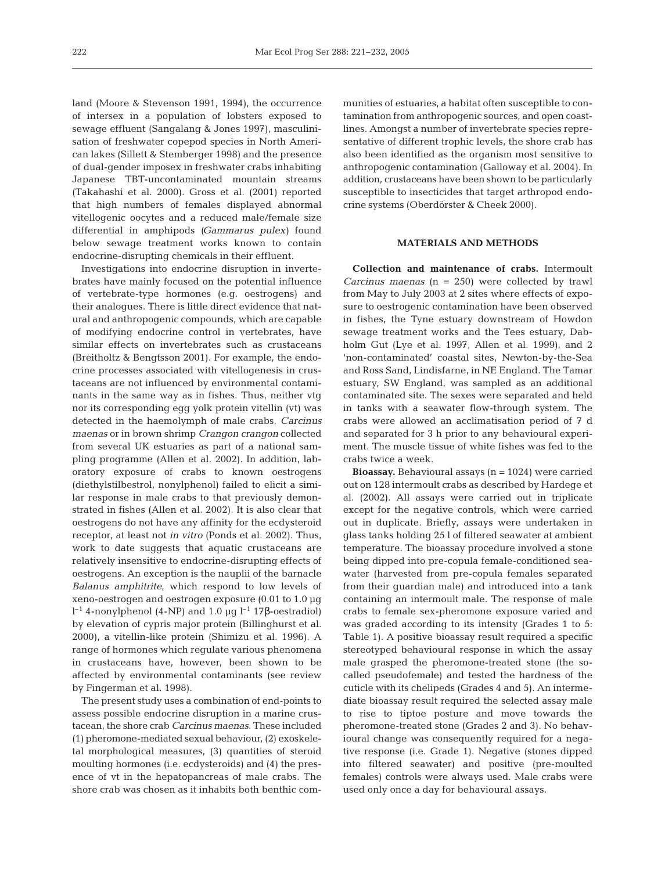land (Moore & Stevenson 1991, 1994), the occurrence of intersex in a population of lobsters exposed to sewage effluent (Sangalang & Jones 1997), masculinisation of freshwater copepod species in North American lakes (Sillett & Stemberger 1998) and the presence of dual-gender imposex in freshwater crabs inhabiting Japanese TBT-uncontaminated mountain streams (Takahashi et al. 2000). Gross et al. (2001) reported that high numbers of females displayed abnormal vitellogenic oocytes and a reduced male/female size differential in amphipods *(Gammarus pulex)* found below sewage treatment works known to contain endocrine-disrupting chemicals in their effluent.

Investigations into endocrine disruption in invertebrates have mainly focused on the potential influence of vertebrate-type hormones (e.g. oestrogens) and their analogues. There is little direct evidence that natural and anthropogenic compounds, which are capable of modifying endocrine control in vertebrates, have similar effects on invertebrates such as crustaceans (Breitholtz & Bengtsson 2001). For example, the endocrine processes associated with vitellogenesis in crustaceans are not influenced by environmental contaminants in the same way as in fishes. Thus, neither vtg nor its corresponding egg yolk protein vitellin (vt) was detected in the haemolymph of male crabs, *Carcinus maenas* or in brown shrimp *Crangon crangon* collected from several UK estuaries as part of a national sampling programme (Allen et al. 2002). In addition, laboratory exposure of crabs to known oestrogens (diethylstilbestrol, nonylphenol) failed to elicit a similar response in male crabs to that previously demonstrated in fishes (Allen et al. 2002). It is also clear that oestrogens do not have any affinity for the ecdysteroid receptor, at least not *in vitro* (Ponds et al. 2002). Thus, work to date suggests that aquatic crustaceans are relatively insensitive to endocrine-disrupting effects of oestrogens. An exception is the nauplii of the barnacle *Balanus amphitrite*, which respond to low levels of xeno-oestrogen and oestrogen exposure (0.01 to 1.0 µg l<sup>-1</sup> 4-nonylphenol (4-NP) and 1.0 μg l<sup>-1</sup> 17β-oestradiol) by elevation of cypris major protein (Billinghurst et al. 2000), a vitellin-like protein (Shimizu et al. 1996). A range of hormones which regulate various phenomena in crustaceans have, however, been shown to be affected by environmental contaminants (see review by Fingerman et al. 1998).

The present study uses a combination of end-points to assess possible endocrine disruption in a marine crustacean, the shore crab *Carcinus maenas*. These included (1) pheromone-mediated sexual behaviour, (2) exoskeletal morphological measures, (3) quantities of steroid moulting hormones (i.e. ecdysteroids) and (4) the presence of vt in the hepatopancreas of male crabs. The shore crab was chosen as it inhabits both benthic communities of estuaries, a habitat often susceptible to contamination from anthropogenic sources, and open coastlines. Amongst a number of invertebrate species representative of different trophic levels, the shore crab has also been identified as the organism most sensitive to anthropogenic contamination (Galloway et al. 2004). In addition, crustaceans have been shown to be particularly susceptible to insecticides that target arthropod endocrine systems (Oberdörster & Cheek 2000).

# **MATERIALS AND METHODS**

**Collection and maintenance of crabs.** Intermoult *Carcinus maenas* (n = 250) were collected by trawl from May to July 2003 at 2 sites where effects of exposure to oestrogenic contamination have been observed in fishes, the Tyne estuary downstream of Howdon sewage treatment works and the Tees estuary, Dabholm Gut (Lye et al. 1997, Allen et al. 1999), and 2 'non-contaminated' coastal sites, Newton-by-the-Sea and Ross Sand, Lindisfarne, in NE England. The Tamar estuary, SW England, was sampled as an additional contaminated site. The sexes were separated and held in tanks with a seawater flow-through system. The crabs were allowed an acclimatisation period of 7 d and separated for 3 h prior to any behavioural experiment. The muscle tissue of white fishes was fed to the crabs twice a week.

**Bioassay.** Behavioural assays (n = 1024) were carried out on 128 intermoult crabs as described by Hardege et al. (2002). All assays were carried out in triplicate except for the negative controls, which were carried out in duplicate. Briefly, assays were undertaken in glass tanks holding 25 l of filtered seawater at ambient temperature. The bioassay procedure involved a stone being dipped into pre-copula female-conditioned seawater (harvested from pre-copula females separated from their guardian male) and introduced into a tank containing an intermoult male. The response of male crabs to female sex-pheromone exposure varied and was graded according to its intensity (Grades 1 to 5: Table 1). A positive bioassay result required a specific stereotyped behavioural response in which the assay male grasped the pheromone-treated stone (the socalled pseudofemale) and tested the hardness of the cuticle with its chelipeds (Grades 4 and 5). An intermediate bioassay result required the selected assay male to rise to tiptoe posture and move towards the pheromone-treated stone (Grades 2 and 3). No behavioural change was consequently required for a negative response (i.e. Grade 1). Negative (stones dipped into filtered seawater) and positive (pre-moulted females) controls were always used. Male crabs were used only once a day for behavioural assays.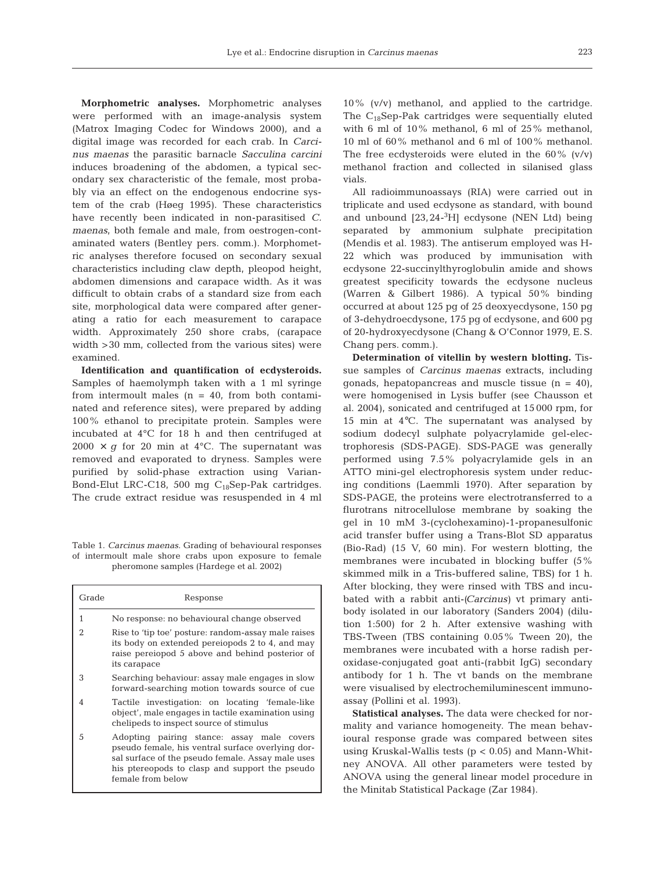**Morphometric analyses.** Morphometric analyses were performed with an image-analysis system (Matrox Imaging Codec for Windows 2000), and a digital image was recorded for each crab. In *Carcinus maenas* the parasitic barnacle *Sacculina carcini* induces broadening of the abdomen, a typical secondary sex characteristic of the female, most probably via an effect on the endogenous endocrine system of the crab (Høeg 1995). These characteristics have recently been indicated in non-parasitised *C. maenas*, both female and male, from oestrogen-contaminated waters (Bentley pers. comm.). Morphometric analyses therefore focused on secondary sexual characteristics including claw depth, pleopod height, abdomen dimensions and carapace width. As it was difficult to obtain crabs of a standard size from each site, morphological data were compared after generating a ratio for each measurement to carapace width. Approximately 250 shore crabs, (carapace width >30 mm, collected from the various sites) were examined.

**Identification and quantification of ecdysteroids.** Samples of haemolymph taken with a 1 ml syringe from intermoult males  $(n = 40, from both contain$ nated and reference sites), were prepared by adding 100% ethanol to precipitate protein. Samples were incubated at 4°C for 18 h and then centrifuged at  $2000 \times g$  for 20 min at 4<sup>o</sup>C. The supernatant was removed and evaporated to dryness. Samples were purified by solid-phase extraction using Varian-Bond-Elut LRC-C18, 500 mg C<sub>18</sub>Sep-Pak cartridges. The crude extract residue was resuspended in 4 ml

Table 1. *Carcinus maenas*. Grading of behavioural responses of intermoult male shore crabs upon exposure to female pheromone samples (Hardege et al. 2002)

| Grade          | Response                                                                                                                                                                                                                    |  |  |
|----------------|-----------------------------------------------------------------------------------------------------------------------------------------------------------------------------------------------------------------------------|--|--|
| 1              | No response: no behavioural change observed                                                                                                                                                                                 |  |  |
| $\mathfrak{D}$ | Rise to 'tip toe' posture: random-assay male raises<br>its body on extended pereiopods 2 to 4, and may<br>raise pereiopod 5 above and behind posterior of<br>its carapace                                                   |  |  |
| 3              | Searching behaviour: assay male engages in slow<br>forward-searching motion towards source of cue                                                                                                                           |  |  |
| 4              | Tactile investigation: on locating 'female-like<br>object', male engages in tactile examination using<br>chelipeds to inspect source of stimulus                                                                            |  |  |
| 5              | Adopting pairing stance: assay male covers<br>pseudo female, his ventral surface overlying dor-<br>sal surface of the pseudo female. Assay male uses<br>his ptereopods to clasp and support the pseudo<br>female from below |  |  |

10% (v/v) methanol, and applied to the cartridge. The  $C_{18}$ Sep-Pak cartridges were sequentially eluted with 6 ml of 10% methanol, 6 ml of 25% methanol, 10 ml of 60% methanol and 6 ml of 100% methanol. The free ecdysteroids were eluted in the  $60\%$  (v/v) methanol fraction and collected in silanised glass vials.

All radioimmunoassays (RIA) were carried out in triplicate and used ecdysone as standard, with bound and unbound [23,24-3 H] ecdysone (NEN Ltd) being separated by ammonium sulphate precipitation (Mendis et al. 1983). The antiserum employed was H-22 which was produced by immunisation with ecdysone 22-succinylthyroglobulin amide and shows greatest specificity towards the ecdysone nucleus (Warren & Gilbert 1986). A typical 50% binding occurred at about 125 pg of 25 deoxyecdysone, 150 pg of 3-dehydroecdysone, 175 pg of ecdysone, and 600 pg of 20-hydroxyecdysone (Chang & O'Connor 1979, E. S. Chang pers. comm.).

**Determination of vitellin by western blotting.** Tissue samples of *Carcinus maenas* extracts, including gonads, hepatopancreas and muscle tissue  $(n = 40)$ , were homogenised in Lysis buffer (see Chausson et al. 2004), sonicated and centrifuged at 15 000 rpm, for 15 min at 4°C. The supernatant was analysed by sodium dodecyl sulphate polyacrylamide gel-electrophoresis (SDS-PAGE). SDS-PAGE was generally performed using 7.5% polyacrylamide gels in an ATTO mini-gel electrophoresis system under reducing conditions (Laemmli 1970). After separation by SDS-PAGE, the proteins were electrotransferred to a flurotrans nitrocellulose membrane by soaking the gel in 10 mM 3-(cyclohexamino)-1-propanesulfonic acid transfer buffer using a Trans-Blot SD apparatus (Bio-Rad) (15 V, 60 min). For western blotting, the membranes were incubated in blocking buffer (5% skimmed milk in a Tris-buffered saline, TBS) for 1 h. After blocking, they were rinsed with TBS and incubated with a rabbit anti-*(Carcinus)* vt primary antibody isolated in our laboratory (Sanders 2004) (dilution 1:500) for 2 h. After extensive washing with TBS-Tween (TBS containing 0.05% Tween 20), the membranes were incubated with a horse radish peroxidase-conjugated goat anti-(rabbit IgG) secondary antibody for 1 h. The vt bands on the membrane were visualised by electrochemiluminescent immunoassay (Pollini et al. 1993).

**Statistical analyses.** The data were checked for normality and variance homogeneity. The mean behavioural response grade was compared between sites using Kruskal-Wallis tests  $(p < 0.05)$  and Mann-Whitney ANOVA. All other parameters were tested by ANOVA using the general linear model procedure in the Minitab Statistical Package (Zar 1984).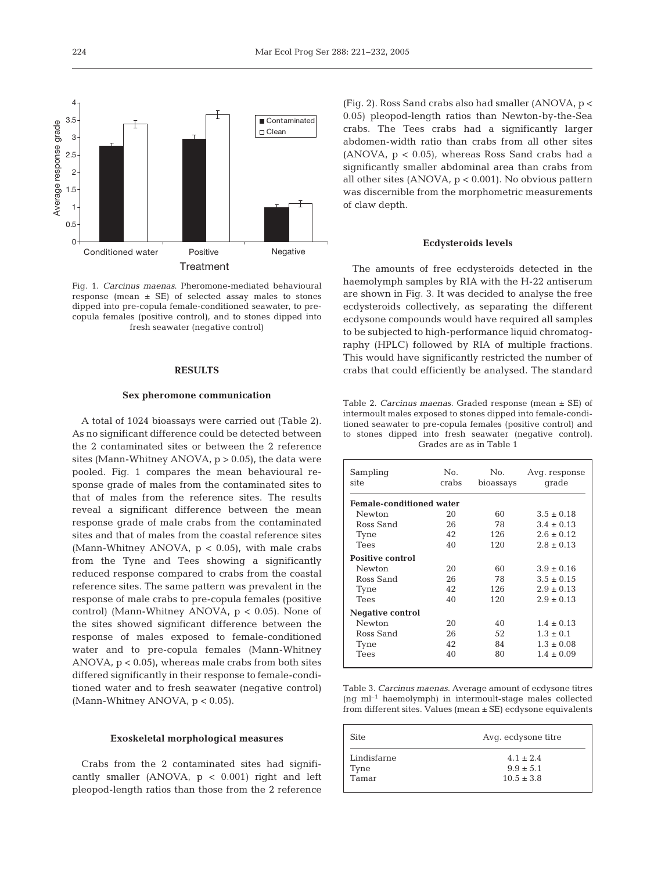

Fig. 1. *Carcinus maenas*. Pheromone-mediated behavioural response (mean  $\pm$  SE) of selected assay males to stones dipped into pre-copula female-conditioned seawater, to precopula females (positive control), and to stones dipped into fresh seawater (negative control)

## **RESULTS**

## **Sex pheromone communication**

A total of 1024 bioassays were carried out (Table 2). As no significant difference could be detected between the 2 contaminated sites or between the 2 reference sites (Mann-Whitney ANOVA,  $p > 0.05$ ), the data were pooled. Fig. 1 compares the mean behavioural response grade of males from the contaminated sites to that of males from the reference sites. The results reveal a significant difference between the mean response grade of male crabs from the contaminated sites and that of males from the coastal reference sites (Mann-Whitney ANOVA,  $p < 0.05$ ), with male crabs from the Tyne and Tees showing a significantly reduced response compared to crabs from the coastal reference sites. The same pattern was prevalent in the response of male crabs to pre-copula females (positive control) (Mann-Whitney ANOVA, p < 0.05). None of the sites showed significant difference between the response of males exposed to female-conditioned water and to pre-copula females (Mann-Whitney ANOVA,  $p < 0.05$ , whereas male crabs from both sites differed significantly in their response to female-conditioned water and to fresh seawater (negative control) (Mann-Whitney ANOVA, p < 0.05).

#### **Exoskeletal morphological measures**

Crabs from the 2 contaminated sites had significantly smaller (ANOVA,  $p < 0.001$ ) right and left pleopod-length ratios than those from the 2 reference

(Fig. 2). Ross Sand crabs also had smaller (ANOVA, p < 0.05) pleopod-length ratios than Newton-by-the-Sea crabs. The Tees crabs had a significantly larger abdomen-width ratio than crabs from all other sites  $(ANOVA, p < 0.05)$ , whereas Ross Sand crabs had a significantly smaller abdominal area than crabs from all other sites (ANOVA,  $p < 0.001$ ). No obvious pattern was discernible from the morphometric measurements of claw depth.

## **Ecdysteroids levels**

The amounts of free ecdysteroids detected in the haemolymph samples by RIA with the H-22 antiserum are shown in Fig. 3. It was decided to analyse the free ecdysteroids collectively, as separating the different ecdysone compounds would have required all samples to be subjected to high-performance liquid chromatography (HPLC) followed by RIA of multiple fractions. This would have significantly restricted the number of crabs that could efficiently be analysed. The standard

Table 2. *Carcinus maenas.* Graded response (mean ± SE) of intermoult males exposed to stones dipped into female-conditioned seawater to pre-copula females (positive control) and to stones dipped into fresh seawater (negative control). Grades are as in Table 1

| Sampling<br>site                | No.<br>crabs | No.<br>bioassays | Avg. response<br>qrade |  |  |  |
|---------------------------------|--------------|------------------|------------------------|--|--|--|
| <b>Female-conditioned water</b> |              |                  |                        |  |  |  |
| Newton                          | 20           | 60               | $3.5 \pm 0.18$         |  |  |  |
| Ross Sand                       | 26           | 78               | $3.4 \pm 0.13$         |  |  |  |
| Tyne                            | 42           | 126              | $2.6 \pm 0.12$         |  |  |  |
| <b>Tees</b>                     | 40           | 120              | $2.8 \pm 0.13$         |  |  |  |
| <b>Positive control</b>         |              |                  |                        |  |  |  |
| Newton                          | 20           | 60               | $3.9 \pm 0.16$         |  |  |  |
| Ross Sand                       | 26           | 78               | $3.5 \pm 0.15$         |  |  |  |
| Tyne                            | 42           | 126              | $2.9 \pm 0.13$         |  |  |  |
| Tees                            | 40           | 120              | $2.9 \pm 0.13$         |  |  |  |
| Negative control                |              |                  |                        |  |  |  |
| Newton                          | 20           | 40               | $1.4 \pm 0.13$         |  |  |  |
| Ross Sand                       | 26           | 52               | $1.3 \pm 0.1$          |  |  |  |
| Tyne                            | 42           | 84               | $1.3 \pm 0.08$         |  |  |  |
| <b>Tees</b>                     | 40           | 80               | $1.4 \pm 0.09$         |  |  |  |

Table 3. *Carcinus maenas.* Average amount of ecdysone titres  $(nq \text{ ml}^{-1})$  haemolymph) in intermoult-stage males collected from different sites. Values (mean ± SE) ecdysone equivalents

| <b>Site</b> | Avq. ecdysone titre |  |
|-------------|---------------------|--|
| Lindisfarne | $4.1 \pm 2.4$       |  |
| Tyne        | $9.9 \pm 5.1$       |  |
| Tamar       | $10.5 \pm 3.8$      |  |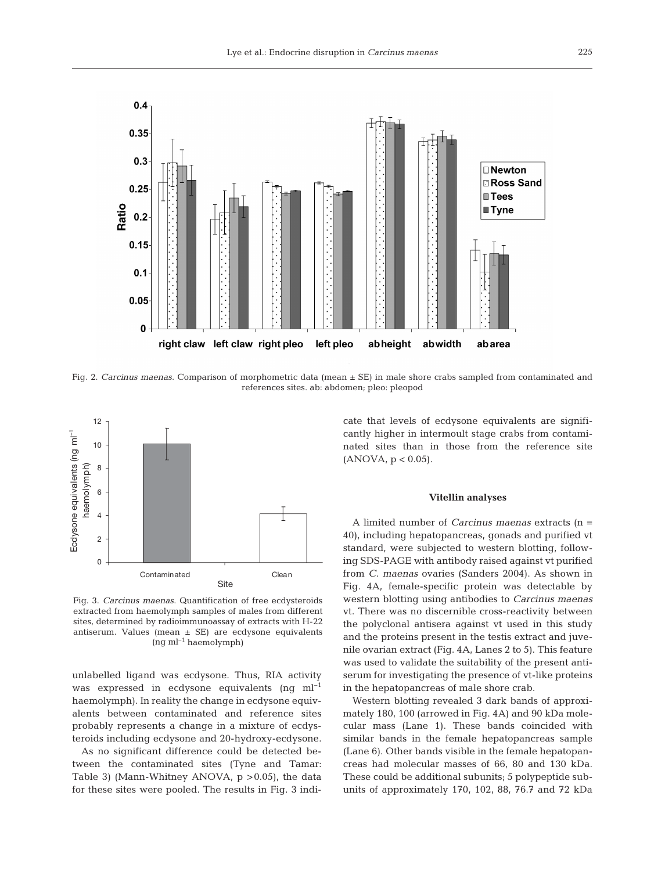

Fig. 2. *Carcinus maenas*. Comparison of morphometric data (mean ± SE) in male shore crabs sampled from contaminated and references sites. ab: abdomen; pleo: pleopod



Fig. 3. *Carcinus maenas*. Quantification of free ecdysteroids extracted from haemolymph samples of males from different sites, determined by radioimmunoassay of extracts with H-22 antiserum. Values (mean ± SE) are ecdysone equivalents  $(ng \text{ ml}^{-1} \text{haemolymph})$ 

unlabelled ligand was ecdysone. Thus, RIA activity was expressed in ecdysone equivalents (ng  $ml^{-1}$ ) haemolymph). In reality the change in ecdysone equivalents between contaminated and reference sites probably represents a change in a mixture of ecdysteroids including ecdysone and 20-hydroxy-ecdysone.

As no significant difference could be detected between the contaminated sites (Tyne and Tamar: Table 3) (Mann-Whitney ANOVA,  $p > 0.05$ ), the data for these sites were pooled. The results in Fig. 3 indicate that levels of ecdysone equivalents are significantly higher in intermoult stage crabs from contaminated sites than in those from the reference site  $(ANOVA, p < 0.05)$ .

#### **Vitellin analyses**

A limited number of *Carcinus maenas* extracts (n = 40), including hepatopancreas, gonads and purified vt standard, were subjected to western blotting, following SDS-PAGE with antibody raised against vt purified from *C. maenas* ovaries (Sanders 2004). As shown in Fig. 4A, female-specific protein was detectable by western blotting using antibodies to *Carcinus maenas* vt. There was no discernible cross-reactivity between the polyclonal antisera against vt used in this study and the proteins present in the testis extract and juvenile ovarian extract (Fig. 4A, Lanes 2 to 5). This feature was used to validate the suitability of the present antiserum for investigating the presence of vt-like proteins in the hepatopancreas of male shore crab.

Western blotting revealed 3 dark bands of approximately 180, 100 (arrowed in Fig. 4A) and 90 kDa molecular mass (Lane 1). These bands coincided with similar bands in the female hepatopancreas sample (Lane 6). Other bands visible in the female hepatopancreas had molecular masses of 66, 80 and 130 kDa. These could be additional subunits; 5 polypeptide subunits of approximately 170, 102, 88, 76.7 and 72 kDa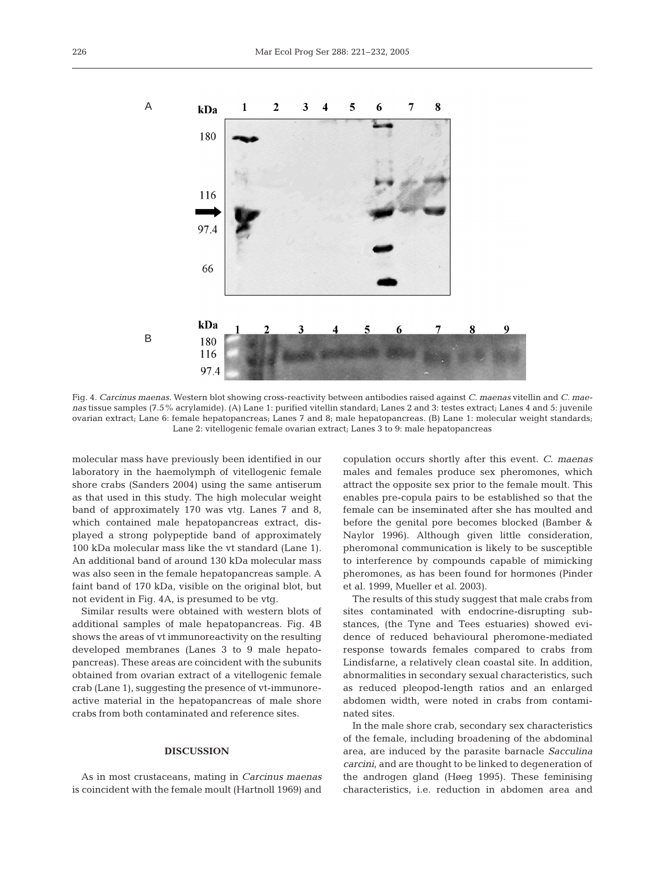

Fig. 4. *Carcinus maenas*. Western blot showing cross-reactivity between antibodies raised against *C. maenas* vitellin and *C. maenas* tissue samples (7.5% acrylamide). (A) Lane 1: purified vitellin standard; Lanes 2 and 3: testes extract; Lanes 4 and 5: juvenile ovarian extract; Lane 6: female hepatopancreas; Lanes 7 and 8; male hepatopancreas. (B) Lane 1: molecular weight standards; Lane 2: vitellogenic female ovarian extract; Lanes 3 to 9: male hepatopancreas

molecular mass have previously been identified in our laboratory in the haemolymph of vitellogenic female shore crabs (Sanders 2004) using the same antiserum as that used in this study. The high molecular weight band of approximately 170 was vtg. Lanes 7 and 8, which contained male hepatopancreas extract, displayed a strong polypeptide band of approximately 100 kDa molecular mass like the vt standard (Lane 1). An additional band of around 130 kDa molecular mass was also seen in the female hepatopancreas sample. A faint band of 170 kDa, visible on the original blot, but not evident in Fig. 4A, is presumed to be vtg.

Similar results were obtained with western blots of additional samples of male hepatopancreas. Fig. 4B shows the areas of vt immunoreactivity on the resulting developed membranes (Lanes 3 to 9 male hepatopancreas). These areas are coincident with the subunits obtained from ovarian extract of a vitellogenic female crab (Lane 1), suggesting the presence of vt-immunoreactive material in the hepatopancreas of male shore crabs from both contaminated and reference sites.

## **DISCUSSION**

As in most crustaceans, mating in *Carcinus maenas* is coincident with the female moult (Hartnoll 1969) and

copulation occurs shortly after this event. *C. maenas* males and females produce sex pheromones, which attract the opposite sex prior to the female moult. This enables pre-copula pairs to be established so that the female can be inseminated after she has moulted and before the genital pore becomes blocked (Bamber & Naylor 1996). Although given little consideration, pheromonal communication is likely to be susceptible to interference by compounds capable of mimicking pheromones, as has been found for hormones (Pinder et al. 1999, Mueller et al. 2003).

The results of this study suggest that male crabs from sites contaminated with endocrine-disrupting substances, (the Tyne and Tees estuaries) showed evidence of reduced behavioural pheromone-mediated response towards females compared to crabs from Lindisfarne, a relatively clean coastal site. In addition, abnormalities in secondary sexual characteristics, such as reduced pleopod-length ratios and an enlarged abdomen width, were noted in crabs from contaminated sites.

In the male shore crab, secondary sex characteristics of the female, including broadening of the abdominal area, are induced by the parasite barnacle *Sacculina carcini*, and are thought to be linked to degeneration of the androgen gland (Høeg 1995). These feminising characteristics, i.e. reduction in abdomen area and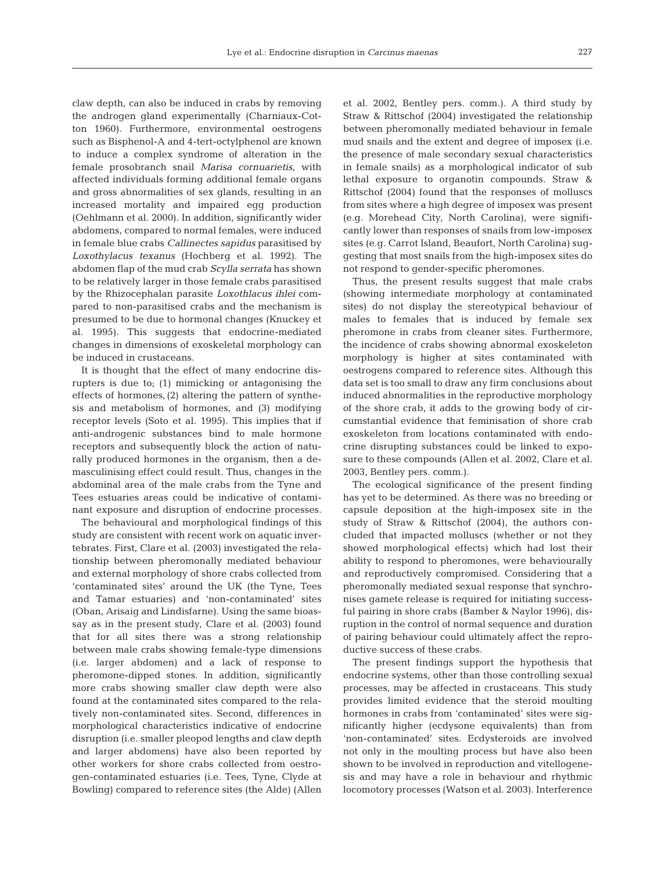claw depth, can also be induced in crabs by removing the androgen gland experimentally (Charniaux-Cotton 1960). Furthermore, environmental oestrogens such as Bisphenol-A and 4-tert-octylphenol are known to induce a complex syndrome of alteration in the female prosobranch snail *Marisa cornuarietis*, with affected individuals forming additional female organs and gross abnormalities of sex glands, resulting in an increased mortality and impaired egg production (Oehlmann et al. 2000). In addition, significantly wider abdomens, compared to normal females, were induced in female blue crabs *Callinectes sapidus* parasitised by *Loxothylacus texanus* (Hochberg et al. 1992). The abdomen flap of the mud crab *Scylla serrata* has shown to be relatively larger in those female crabs parasitised by the Rhizocephalan parasite *Loxothlacus ihlei* compared to non-parasitised crabs and the mechanism is presumed to be due to hormonal changes (Knuckey et al. 1995). This suggests that endocrine-mediated changes in dimensions of exoskeletal morphology can be induced in crustaceans.

It is thought that the effect of many endocrine disrupters is due to; (1) mimicking or antagonising the effects of hormones, (2) altering the pattern of synthesis and metabolism of hormones, and (3) modifying receptor levels (Soto et al. 1995). This implies that if anti-androgenic substances bind to male hormone receptors and subsequently block the action of naturally produced hormones in the organism, then a demasculinising effect could result. Thus, changes in the abdominal area of the male crabs from the Tyne and Tees estuaries areas could be indicative of contaminant exposure and disruption of endocrine processes.

The behavioural and morphological findings of this study are consistent with recent work on aquatic invertebrates. First, Clare et al. (2003) investigated the relationship between pheromonally mediated behaviour and external morphology of shore crabs collected from 'contaminated sites' around the UK (the Tyne, Tees and Tamar estuaries) and 'non-contaminated' sites (Oban, Arisaig and Lindisfarne). Using the same bioassay as in the present study, Clare et al. (2003) found that for all sites there was a strong relationship between male crabs showing female-type dimensions (i.e. larger abdomen) and a lack of response to pheromone-dipped stones. In addition, significantly more crabs showing smaller claw depth were also found at the contaminated sites compared to the relatively non-contaminated sites. Second, differences in morphological characteristics indicative of endocrine disruption (i.e. smaller pleopod lengths and claw depth and larger abdomens) have also been reported by other workers for shore crabs collected from oestrogen-contaminated estuaries (i.e. Tees, Tyne, Clyde at Bowling) compared to reference sites (the Alde) (Allen

et al. 2002, Bentley pers. comm.). A third study by Straw & Rittschof (2004) investigated the relationship between pheromonally mediated behaviour in female mud snails and the extent and degree of imposex (i.e. the presence of male secondary sexual characteristics in female snails) as a morphological indicator of sub lethal exposure to organotin compounds. Straw & Rittschof (2004) found that the responses of molluscs from sites where a high degree of imposex was present (e.g. Morehead City, North Carolina), were significantly lower than responses of snails from low-imposex sites (e.g. Carrot Island, Beaufort, North Carolina) suggesting that most snails from the high-imposex sites do not respond to gender-specific pheromones.

Thus, the present results suggest that male crabs (showing intermediate morphology at contaminated sites) do not display the stereotypical behaviour of males to females that is induced by female sex pheromone in crabs from cleaner sites. Furthermore, the incidence of crabs showing abnormal exoskeleton morphology is higher at sites contaminated with oestrogens compared to reference sites. Although this data set is too small to draw any firm conclusions about induced abnormalities in the reproductive morphology of the shore crab, it adds to the growing body of circumstantial evidence that feminisation of shore crab exoskeleton from locations contaminated with endocrine disrupting substances could be linked to exposure to these compounds (Allen et al. 2002, Clare et al. 2003, Bentley pers. comm.).

The ecological significance of the present finding has yet to be determined. As there was no breeding or capsule deposition at the high-imposex site in the study of Straw & Rittschof (2004), the authors concluded that impacted molluscs (whether or not they showed morphological effects) which had lost their ability to respond to pheromones, were behaviourally and reproductively compromised. Considering that a pheromonally mediated sexual response that synchronises gamete release is required for initiating successful pairing in shore crabs (Bamber & Naylor 1996), disruption in the control of normal sequence and duration of pairing behaviour could ultimately affect the reproductive success of these crabs.

The present findings support the hypothesis that endocrine systems, other than those controlling sexual processes, may be affected in crustaceans. This study provides limited evidence that the steroid moulting hormones in crabs from 'contaminated' sites were significantly higher (ecdysone equivalents) than from 'non-contaminated' sites. Ecdysteroids are involved not only in the moulting process but have also been shown to be involved in reproduction and vitellogenesis and may have a role in behaviour and rhythmic locomotory processes (Watson et al. 2003). Interference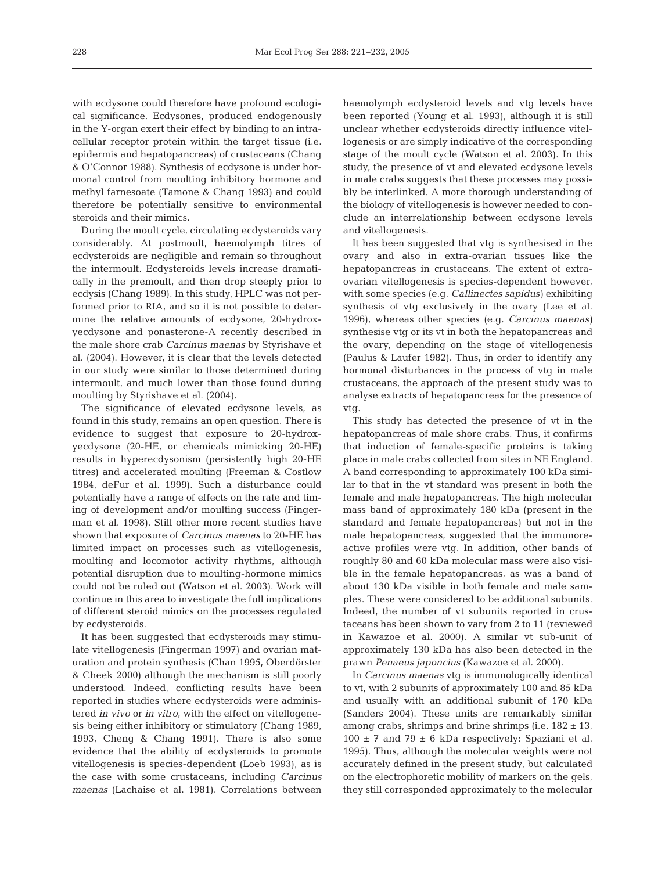with ecdysone could therefore have profound ecological significance. Ecdysones, produced endogenously in the Y-organ exert their effect by binding to an intracellular receptor protein within the target tissue (i.e. epidermis and hepatopancreas) of crustaceans (Chang & O'Connor 1988). Synthesis of ecdysone is under hormonal control from moulting inhibitory hormone and methyl farnesoate (Tamone & Chang 1993) and could therefore be potentially sensitive to environmental steroids and their mimics.

During the moult cycle, circulating ecdysteroids vary considerably. At postmoult, haemolymph titres of ecdysteroids are negligible and remain so throughout the intermoult. Ecdysteroids levels increase dramatically in the premoult, and then drop steeply prior to ecdysis (Chang 1989). In this study, HPLC was not performed prior to RIA, and so it is not possible to determine the relative amounts of ecdysone, 20-hydroxyecdysone and ponasterone-A recently described in the male shore crab *Carcinus maenas* by Styrishave et al. (2004). However, it is clear that the levels detected in our study were similar to those determined during intermoult, and much lower than those found during moulting by Styrishave et al. (2004).

The significance of elevated ecdysone levels, as found in this study, remains an open question. There is evidence to suggest that exposure to 20-hydroxyecdysone (20-HE, or chemicals mimicking 20-HE) results in hyperecdysonism (persistently high 20-HE titres) and accelerated moulting (Freeman & Costlow 1984, deFur et al. 1999). Such a disturbance could potentially have a range of effects on the rate and timing of development and/or moulting success (Fingerman et al. 1998). Still other more recent studies have shown that exposure of *Carcinus maenas* to 20-HE has limited impact on processes such as vitellogenesis, moulting and locomotor activity rhythms, although potential disruption due to moulting-hormone mimics could not be ruled out (Watson et al. 2003). Work will continue in this area to investigate the full implications of different steroid mimics on the processes regulated by ecdysteroids.

It has been suggested that ecdysteroids may stimulate vitellogenesis (Fingerman 1997) and ovarian maturation and protein synthesis (Chan 1995, Oberdörster & Cheek 2000) although the mechanism is still poorly understood. Indeed, conflicting results have been reported in studies where ecdysteroids were administered *in vivo* or *in vitro*, with the effect on vitellogenesis being either inhibitory or stimulatory (Chang 1989, 1993, Cheng & Chang 1991). There is also some evidence that the ability of ecdysteroids to promote vitellogenesis is species-dependent (Loeb 1993), as is the case with some crustaceans, including *Carcinus maenas* (Lachaise et al. 1981). Correlations between

haemolymph ecdysteroid levels and vtg levels have been reported (Young et al. 1993), although it is still unclear whether ecdysteroids directly influence vitellogenesis or are simply indicative of the corresponding stage of the moult cycle (Watson et al. 2003). In this study, the presence of vt and elevated ecdysone levels in male crabs suggests that these processes may possibly be interlinked. A more thorough understanding of the biology of vitellogenesis is however needed to conclude an interrelationship between ecdysone levels and vitellogenesis.

It has been suggested that vtg is synthesised in the ovary and also in extra-ovarian tissues like the hepatopancreas in crustaceans. The extent of extraovarian vitellogenesis is species-dependent however, with some species (e.g. *Callinectes sapidus)* exhibiting synthesis of vtg exclusively in the ovary (Lee et al. 1996), whereas other species (e.g. *Carcinus maenas)* synthesise vtg or its vt in both the hepatopancreas and the ovary, depending on the stage of vitellogenesis (Paulus & Laufer 1982). Thus, in order to identify any hormonal disturbances in the process of vtg in male crustaceans, the approach of the present study was to analyse extracts of hepatopancreas for the presence of vtg.

This study has detected the presence of vt in the hepatopancreas of male shore crabs. Thus, it confirms that induction of female-specific proteins is taking place in male crabs collected from sites in NE England. A band corresponding to approximately 100 kDa similar to that in the vt standard was present in both the female and male hepatopancreas. The high molecular mass band of approximately 180 kDa (present in the standard and female hepatopancreas) but not in the male hepatopancreas, suggested that the immunoreactive profiles were vtg. In addition, other bands of roughly 80 and 60 kDa molecular mass were also visible in the female hepatopancreas, as was a band of about 130 kDa visible in both female and male samples. These were considered to be additional subunits. Indeed, the number of vt subunits reported in crustaceans has been shown to vary from 2 to 11 (reviewed in Kawazoe et al. 2000). A similar vt sub-unit of approximately 130 kDa has also been detected in the prawn *Penaeus japoncius* (Kawazoe et al. 2000).

In *Carcinus maenas* vtg is immunologically identical to vt, with 2 subunits of approximately 100 and 85 kDa and usually with an additional subunit of 170 kDa (Sanders 2004). These units are remarkably similar among crabs, shrimps and brine shrimps (i.e.  $182 \pm 13$ ,  $100 \pm 7$  and  $79 \pm 6$  kDa respectively: Spaziani et al. 1995). Thus, although the molecular weights were not accurately defined in the present study, but calculated on the electrophoretic mobility of markers on the gels, they still corresponded approximately to the molecular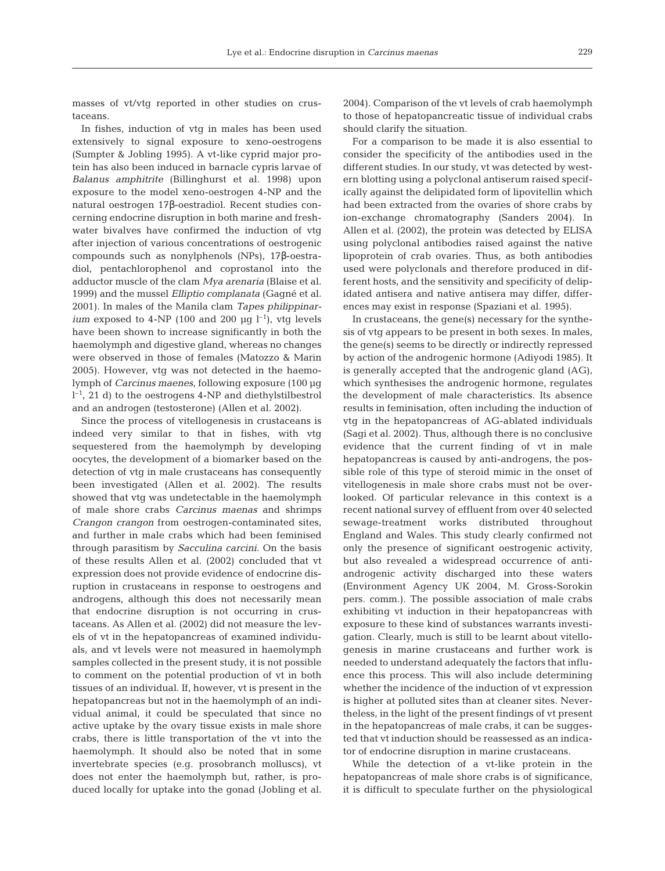masses of vt/vtg reported in other studies on crustaceans.

In fishes, induction of vtg in males has been used extensively to signal exposure to xeno-oestrogens (Sumpter & Jobling 1995). A vt-like cyprid major protein has also been induced in barnacle cypris larvae of *Balanus amphitrite* (Billinghurst et al. 1998) upon exposure to the model xeno-oestrogen 4-NP and the natural oestrogen 17β-oestradiol. Recent studies concerning endocrine disruption in both marine and freshwater bivalves have confirmed the induction of vtg after injection of various concentrations of oestrogenic compounds such as nonylphenols (NPs), 17β-oestradiol, pentachlorophenol and coprostanol into the adductor muscle of the clam *Mya arenaria* (Blaise et al. 1999) and the mussel *Elliptio complanata* (Gagné et al. 2001). In males of the Manila clam *Tapes philippinarium* exposed to 4-NP (100 and 200  $\mu$ g l<sup>-1</sup>), vtg levels have been shown to increase significantly in both the haemolymph and digestive gland, whereas no changes were observed in those of females (Matozzo & Marin 2005). However, vtg was not detected in the haemolymph of *Carcinus maenes*, following exposure (100 µg  $l^{-1}$ , 21 d) to the oestrogens 4-NP and diethylstilbestrol and an androgen (testosterone) (Allen et al. 2002).

Since the process of vitellogenesis in crustaceans is indeed very similar to that in fishes, with vtg sequestered from the haemolymph by developing oocytes, the development of a biomarker based on the detection of vtg in male crustaceans has consequently been investigated (Allen et al. 2002). The results showed that vtg was undetectable in the haemolymph of male shore crabs *Carcinus maenas* and shrimps *Crangon crangon* from oestrogen-contaminated sites, and further in male crabs which had been feminised through parasitism by *Sacculina carcini.* On the basis of these results Allen et al. (2002) concluded that vt expression does not provide evidence of endocrine disruption in crustaceans in response to oestrogens and androgens, although this does not necessarily mean that endocrine disruption is not occurring in crustaceans. As Allen et al. (2002) did not measure the levels of vt in the hepatopancreas of examined individuals, and vt levels were not measured in haemolymph samples collected in the present study, it is not possible to comment on the potential production of vt in both tissues of an individual. If, however, vt is present in the hepatopancreas but not in the haemolymph of an individual animal, it could be speculated that since no active uptake by the ovary tissue exists in male shore crabs, there is little transportation of the vt into the haemolymph. It should also be noted that in some invertebrate species (e.g. prosobranch molluscs), vt does not enter the haemolymph but, rather, is produced locally for uptake into the gonad (Jobling et al.

2004). Comparison of the vt levels of crab haemolymph to those of hepatopancreatic tissue of individual crabs should clarify the situation.

For a comparison to be made it is also essential to consider the specificity of the antibodies used in the different studies. In our study, vt was detected by western blotting using a polyclonal antiserum raised specifically against the delipidated form of lipovitellin which had been extracted from the ovaries of shore crabs by ion-exchange chromatography (Sanders 2004). In Allen et al. (2002), the protein was detected by ELISA using polyclonal antibodies raised against the native lipoprotein of crab ovaries. Thus, as both antibodies used were polyclonals and therefore produced in different hosts, and the sensitivity and specificity of delipidated antisera and native antisera may differ, differences may exist in response (Spaziani et al. 1995).

In crustaceans, the gene(s) necessary for the synthesis of vtg appears to be present in both sexes. In males, the gene(s) seems to be directly or indirectly repressed by action of the androgenic hormone (Adiyodi 1985). It is generally accepted that the androgenic gland (AG), which synthesises the androgenic hormone, regulates the development of male characteristics. Its absence results in feminisation, often including the induction of vtg in the hepatopancreas of AG-ablated individuals (Sagi et al. 2002). Thus, although there is no conclusive evidence that the current finding of vt in male hepatopancreas is caused by anti-androgens, the possible role of this type of steroid mimic in the onset of vitellogenesis in male shore crabs must not be overlooked. Of particular relevance in this context is a recent national survey of effluent from over 40 selected sewage-treatment works distributed throughout England and Wales. This study clearly confirmed not only the presence of significant oestrogenic activity, but also revealed a widespread occurrence of antiandrogenic activity discharged into these waters (Environment Agency UK 2004, M. Gross-Sorokin pers. comm.). The possible association of male crabs exhibiting vt induction in their hepatopancreas with exposure to these kind of substances warrants investigation. Clearly, much is still to be learnt about vitellogenesis in marine crustaceans and further work is needed to understand adequately the factors that influence this process. This will also include determining whether the incidence of the induction of vt expression is higher at polluted sites than at cleaner sites. Nevertheless, in the light of the present findings of vt present in the hepatopancreas of male crabs, it can be suggested that vt induction should be reassessed as an indicator of endocrine disruption in marine crustaceans.

While the detection of a vt-like protein in the hepatopancreas of male shore crabs is of significance, it is difficult to speculate further on the physiological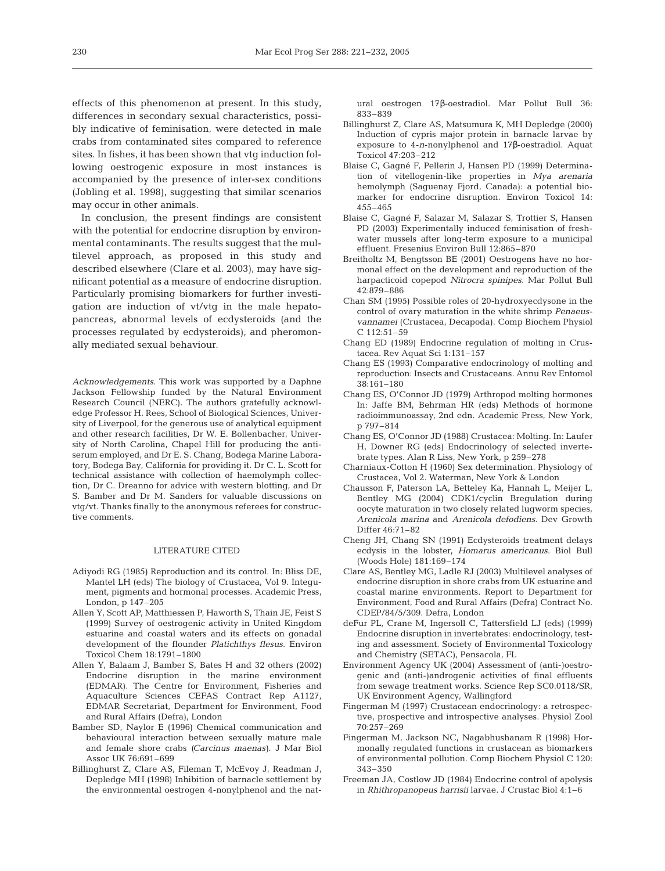effects of this phenomenon at present. In this study, differences in secondary sexual characteristics, possibly indicative of feminisation, were detected in male crabs from contaminated sites compared to reference sites. In fishes, it has been shown that vtg induction following oestrogenic exposure in most instances is accompanied by the presence of inter-sex conditions (Jobling et al. 1998), suggesting that similar scenarios may occur in other animals.

In conclusion, the present findings are consistent with the potential for endocrine disruption by environmental contaminants. The results suggest that the multilevel approach, as proposed in this study and described elsewhere (Clare et al. 2003), may have significant potential as a measure of endocrine disruption. Particularly promising biomarkers for further investigation are induction of vt/vtg in the male hepatopancreas, abnormal levels of ecdysteroids (and the processes regulated by ecdysteroids), and pheromonally mediated sexual behaviour.

*Acknowledgements.* This work was supported by a Daphne Jackson Fellowship funded by the Natural Environment Research Council (NERC). The authors gratefully acknowledge Professor H. Rees, School of Biological Sciences, University of Liverpool, for the generous use of analytical equipment and other research facilities, Dr W. E. Bollenbacher, University of North Carolina, Chapel Hill for producing the antiserum employed, and Dr E. S. Chang, Bodega Marine Laboratory, Bodega Bay, California for providing it. Dr C. L. Scott for technical assistance with collection of haemolymph collection, Dr C. Dreanno for advice with western blotting, and Dr S. Bamber and Dr M. Sanders for valuable discussions on vtg/vt. Thanks finally to the anonymous referees for constructive comments.

#### LITERATURE CITED

- Adiyodi RG (1985) Reproduction and its control. In: Bliss DE, Mantel LH (eds) The biology of Crustacea, Vol 9. Integument, pigments and hormonal processes. Academic Press, London, p 147–205
- Allen Y, Scott AP, Matthiessen P, Haworth S, Thain JE, Feist S (1999) Survey of oestrogenic activity in United Kingdom estuarine and coastal waters and its effects on gonadal development of the flounder *Platichthys flesus*. Environ Toxicol Chem 18:1791–1800
- Allen Y, Balaam J, Bamber S, Bates H and 32 others (2002) Endocrine disruption in the marine environment (EDMAR). The Centre for Environment, Fisheries and Aquaculture Sciences CEFAS Contract Rep A1127, EDMAR Secretariat, Department for Environment, Food and Rural Affairs (Defra), London
- Bamber SD, Naylor E (1996) Chemical communication and behavioural interaction between sexually mature male and female shore crabs *(Carcinus maenas)*. J Mar Biol Assoc UK 76:691–699
- Billinghurst Z, Clare AS, Fileman T, McEvoy J, Readman J, Depledge MH (1998) Inhibition of barnacle settlement by the environmental oestrogen 4-nonylphenol and the nat-

ural oestrogen 17β-oestradiol. Mar Pollut Bull 36: 833–839

- Billinghurst Z, Clare AS, Matsumura K, MH Depledge (2000) Induction of cypris major protein in barnacle larvae by exposure to 4-*n*-nonylphenol and 17β-oestradiol. Aquat Toxicol 47:203–212
- Blaise C, Gagné F, Pellerin J, Hansen PD (1999) Determination of vitellogenin-like properties in *Mya arenaria* hemolymph (Saguenay Fjord, Canada): a potential biomarker for endocrine disruption. Environ Toxicol 14: 455–465
- Blaise C, Gagné F, Salazar M, Salazar S, Trottier S, Hansen PD (2003) Experimentally induced feminisation of freshwater mussels after long-term exposure to a municipal effluent. Fresenius Environ Bull 12:865–870
- Breitholtz M, Bengtsson BE (2001) Oestrogens have no hormonal effect on the development and reproduction of the harpacticoid copepod *Nitrocra spinipes*. Mar Pollut Bull 42:879–886
- Chan SM (1995) Possible roles of 20-hydroxyecdysone in the control of ovary maturation in the white shrimp *Penaeusvannamei* (Crustacea, Decapoda). Comp Biochem Physiol C 112:51–59
- Chang ED (1989) Endocrine regulation of molting in Crustacea. Rev Aquat Sci 1:131–157
- Chang ES (1993) Comparative endocrinology of molting and reproduction: Insects and Crustaceans. Annu Rev Entomol 38:161–180
- Chang ES, O'Connor JD (1979) Arthropod molting hormones In: Jaffe BM, Behrman HR (eds) Methods of hormone radioimmunoassay, 2nd edn. Academic Press, New York, p 797–814
- Chang ES, O'Connor JD (1988) Crustacea: Molting. In: Laufer H, Downer RG (eds) Endocrinology of selected invertebrate types. Alan R Liss, New York, p 259–278
- Charniaux-Cotton H (1960) Sex determination. Physiology of Crustacea, Vol 2. Waterman, New York & London
- Chausson F, Paterson LA, Betteley Ka, Hannah L, Meijer L, Bentley MG (2004) CDK1/cyclin Bregulation during oocyte maturation in two closely related lugworm species, *Arenicola marina* and *Arenicola defodiens*. Dev Growth Differ 46:71–82
- Cheng JH, Chang SN (1991) Ecdysteroids treatment delays ecdysis in the lobster, *Homarus americanus*. Biol Bull (Woods Hole) 181:169–174
- Clare AS, Bentley MG, Ladle RJ (2003) Multilevel analyses of endocrine disruption in shore crabs from UK estuarine and coastal marine environments. Report to Department for Environment, Food and Rural Affairs (Defra) Contract No. CDEP/84/5/309. Defra, London
- deFur PL, Crane M, Ingersoll C, Tattersfield LJ (eds) (1999) Endocrine disruption in invertebrates: endocrinology, testing and assessment. Society of Environmental Toxicology and Chemistry (SETAC), Pensacola, FL
- Environment Agency UK (2004) Assessment of (anti-)oestrogenic and (anti-)androgenic activities of final effluents from sewage treatment works. Science Rep SC0.0118/SR, UK Environment Agency, Wallingford
- Fingerman M (1997) Crustacean endocrinology: a retrospective, prospective and introspective analyses. Physiol Zool 70:257–269
- Fingerman M, Jackson NC, Nagabhushanam R (1998) Hormonally regulated functions in crustacean as biomarkers of environmental pollution. Comp Biochem Physiol C 120: 343–350
- Freeman JA, Costlow JD (1984) Endocrine control of apolysis in *Rhithropanopeus harrisii* larvae. J Crustac Biol 4:1–6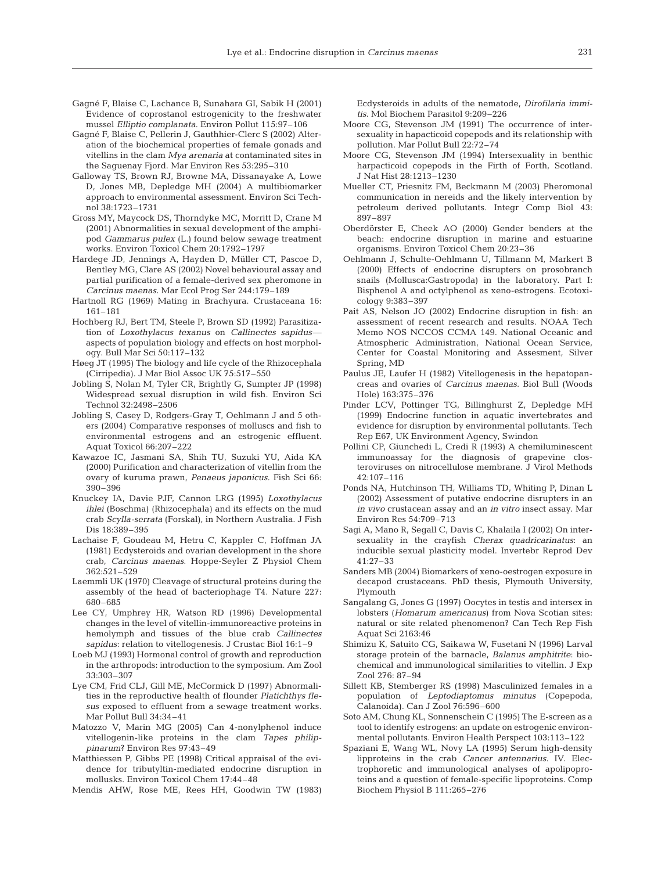- Gagné F, Blaise C, Lachance B, Sunahara GI, Sabik H (2001) Evidence of coprostanol estrogenicity to the freshwater mussel *Elliptio complanata*. Environ Pollut 115:97–106
- Gagné F, Blaise C, Pellerin J, Gauthhier-Clerc S (2002) Alteration of the biochemical properties of female gonads and vitellins in the clam *Mya arenaria* at contaminated sites in the Saguenay Fjord. Mar Environ Res 53:295–310
- Galloway TS, Brown RJ, Browne MA, Dissanayake A, Lowe D, Jones MB, Depledge MH (2004) A multibiomarker approach to environmental assessment. Environ Sci Technol 38:1723–1731
- Gross MY, Maycock DS, Thorndyke MC, Morritt D, Crane M (2001) Abnormalities in sexual development of the amphipod *Gammarus pulex* (L.) found below sewage treatment works. Environ Toxicol Chem 20:1792–1797
- Hardege JD, Jennings A, Hayden D, Müller CT, Pascoe D, Bentley MG, Clare AS (2002) Novel behavioural assay and partial purification of a female-derived sex pheromone in *Carcinus maenas*. Mar Ecol Prog Ser 244:179–189
- Hartnoll RG (1969) Mating in Brachyura. Crustaceana 16: 161–181
- Hochberg RJ, Bert TM, Steele P, Brown SD (1992) Parasitization of *Loxothylacus texanus* on *Callinectes sapidus* aspects of population biology and effects on host morphology. Bull Mar Sci 50:117–132
- Høeg JT (1995) The biology and life cycle of the Rhizocephala (Cirripedia). J Mar Biol Assoc UK 75:517–550
- Jobling S, Nolan M, Tyler CR, Brightly G, Sumpter JP (1998) Widespread sexual disruption in wild fish. Environ Sci Technol 32:2498–2506
- Jobling S, Casey D, Rodgers-Gray T, Oehlmann J and 5 others (2004) Comparative responses of molluscs and fish to environmental estrogens and an estrogenic effluent. Aquat Toxicol 66:207–222
- Kawazoe IC, Jasmani SA, Shih TU, Suzuki YU, Aida KA (2000) Purification and characterization of vitellin from the ovary of kuruma prawn, *Penaeus japonicus.* Fish Sci 66: 390–396
- Knuckey IA, Davie PJF, Cannon LRG (1995) *Loxothylacus ihlei* (Boschma) (Rhizocephala) and its effects on the mud crab *Scylla-serrata* (Forskal), in Northern Australia. J Fish Dis 18:389–395
- Lachaise F, Goudeau M, Hetru C, Kappler C, Hoffman JA (1981) Ecdysteroids and ovarian development in the shore crab, *Carcinus maenas*. Hoppe-Seyler Z Physiol Chem 362:521–529
- Laemmli UK (1970) Cleavage of structural proteins during the assembly of the head of bacteriophage T4. Nature 227: 680–685
- Lee CY, Umphrey HR, Watson RD (1996) Developmental changes in the level of vitellin-immunoreactive proteins in hemolymph and tissues of the blue crab *Callinectes sapidus*: relation to vitellogenesis. J Crustac Biol 16:1–9
- Loeb MJ (1993) Hormonal control of growth and reproduction in the arthropods: introduction to the symposium. Am Zool 33:303–307
- Lye CM, Frid CLJ, Gill ME, McCormick D (1997) Abnormalities in the reproductive health of flounder *Platichthys flesus* exposed to effluent from a sewage treatment works. Mar Pollut Bull 34:34–41
- Matozzo V, Marin MG (2005) Can 4-nonylphenol induce vitellogenin-like proteins in the clam *Tapes philippinarum*? Environ Res 97:43–49
- Matthiessen P, Gibbs PE (1998) Critical appraisal of the evidence for tributyltin-mediated endocrine disruption in mollusks. Environ Toxicol Chem 17:44–48
- Mendis AHW, Rose ME, Rees HH, Goodwin TW (1983)

Ecdysteroids in adults of the nematode, *Dirofilaria immitis*. Mol Biochem Parasitol 9:209–226

- Moore CG, Stevenson JM (1991) The occurrence of intersexuality in hapacticoid copepods and its relationship with pollution. Mar Pollut Bull 22:72–74
- Moore CG, Stevenson JM (1994) Intersexuality in benthic harpacticoid copepods in the Firth of Forth, Scotland. J Nat Hist 28:1213–1230
- Mueller CT, Priesnitz FM, Beckmann M (2003) Pheromonal communication in nereids and the likely intervention by petroleum derived pollutants. Integr Comp Biol 43: 897–897
- Oberdörster E, Cheek AO (2000) Gender benders at the beach: endocrine disruption in marine and estuarine organisms. Environ Toxicol Chem 20:23–36
- Oehlmann J, Schulte-Oehlmann U, Tillmann M, Markert B (2000) Effects of endocrine disrupters on prosobranch snails (Mollusca:Gastropoda) in the laboratory. Part I: Bisphenol A and octylphenol as xeno-estrogens. Ecotoxicology 9:383–397
- Pait AS, Nelson JO (2002) Endocrine disruption in fish: an assessment of recent research and results. NOAA Tech Memo NOS NCCOS CCMA 149. National Oceanic and Atmospheric Administration, National Ocean Service, Center for Coastal Monitoring and Assesment, Silver Spring, MD
- Paulus JE, Laufer H (1982) Vitellogenesis in the hepatopancreas and ovaries of *Carcinus maenas*. Biol Bull (Woods Hole) 163:375–376
- Pinder LCV, Pottinger TG, Billinghurst Z, Depledge MH (1999) Endocrine function in aquatic invertebrates and evidence for disruption by environmental pollutants. Tech Rep E67, UK Environment Agency, Swindon
- Pollini CP, Giunchedi L, Credi R (1993) A chemiluminescent immunoassay for the diagnosis of grapevine closteroviruses on nitrocellulose membrane. J Virol Methods 42:107–116
- Ponds NA, Hutchinson TH, Williams TD, Whiting P, Dinan L (2002) Assessment of putative endocrine disrupters in an *in vivo* crustacean assay and an *in vitro* insect assay. Mar Environ Res 54:709–713
- Sagi A, Mano R, Segall C, Davis C, Khalaila I (2002) On intersexuality in the crayfish *Cherax quadricarinatus*: an inducible sexual plasticity model. Invertebr Reprod Dev 41:27–33
- Sanders MB (2004) Biomarkers of xeno-oestrogen exposure in decapod crustaceans. PhD thesis, Plymouth University, Plymouth
- Sangalang G, Jones G (1997) Oocytes in testis and intersex in lobsters (*Homarum americanus*) from Nova Scotian sites: natural or site related phenomenon? Can Tech Rep Fish Aquat Sci 2163:46
- Shimizu K, Satuito CG, Saikawa W, Fusetani N (1996) Larval storage protein of the barnacle, *Balanus amphitrite*: biochemical and immunological similarities to vitellin. J Exp Zool 276: 87–94
- Sillett KB, Stemberger RS (1998) Masculinized females in a population of *Leptodiaptomus minutus* (Copepoda, Calanoida). Can J Zool 76:596–600
- Soto AM, Chung KL, Sonnenschein C (1995) The E-screen as a tool to identify estrogens: an update on estrogenic environmental pollutants. Environ Health Perspect 103:113–122
- Spaziani E, Wang WL, Novy LA (1995) Serum high-density lipproteins in the crab *Cancer antennarius*. IV. Electrophoretic and immunological analyses of apolipoproteins and a question of female-specific lipoproteins. Comp Biochem Physiol B 111:265–276